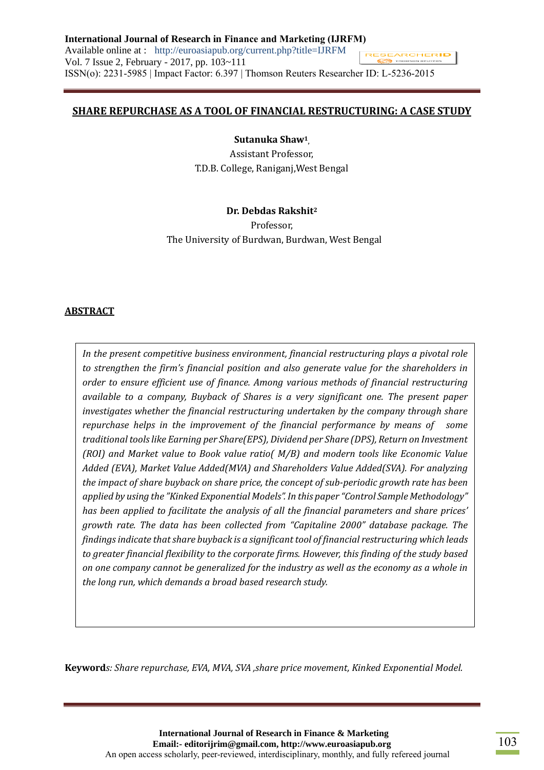### **SHARE REPURCHASE AS A TOOL OF FINANCIAL RESTRUCTURING: A CASE STUDY**

**Sutanuka Shaw<sup>1</sup> ,**

Assistant Professor, T.D.B. College, Raniganj,West Bengal

### **Dr. Debdas Rakshit<sup>2</sup>**

Professor, The University of Burdwan, Burdwan, West Bengal

### **ABSTRACT**

*In the present competitive business environment, financial restructuring plays a pivotal role to strengthen the firm's financial position and also generate value for the shareholders in order to ensure efficient use of finance. Among various methods of financial restructuring available to a company, Buyback of Shares is a very significant one. The present paper investigates whether the financial restructuring undertaken by the company through share repurchase helps in the improvement of the financial performance by means of some traditional tools like Earning per Share(EPS), Dividend per Share (DPS), Return on Investment (ROI) and Market value to Book value ratio( M/B) and modern tools like Economic Value Added (EVA), Market Value Added(MVA) and Shareholders Value Added(SVA). For analyzing the impact of share buyback on share price, the concept of sub-periodic growth rate has been applied by using the "Kinked Exponential Models". In this paper "Control Sample Methodology" has been applied to facilitate the analysis of all the financial parameters and share prices' growth rate. The data has been collected from "Capitaline 2000" database package. The findings indicate that share buyback is a significant tool of financial restructuring which leads to greater financial flexibility to the corporate firms. However, this finding of the study based on one company cannot be generalized for the industry as well as the economy as a whole in the long run, which demands a broad based research study.*

**Keyword***s: Share repurchase, EVA, MVA, SVA ,share price movement, Kinked Exponential Model.*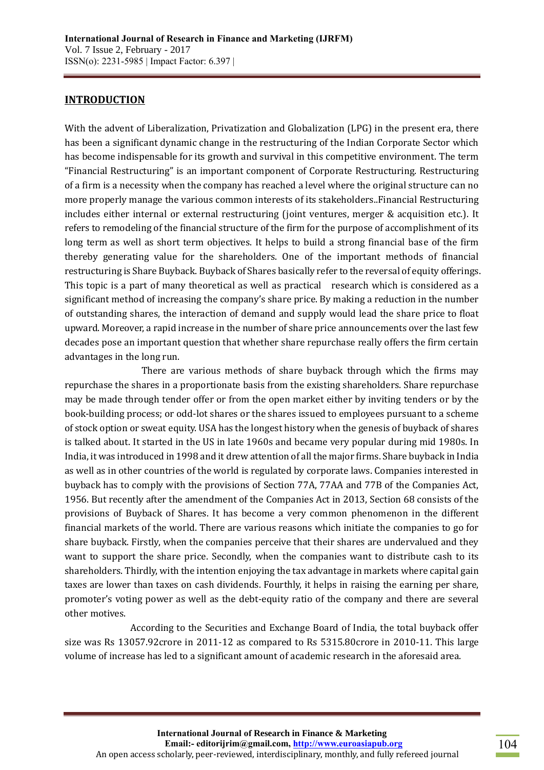## **INTRODUCTION**

With the advent of Liberalization, Privatization and Globalization (LPG) in the present era, there has been a significant dynamic change in the restructuring of the Indian Corporate Sector which has become indispensable for its growth and survival in this competitive environment. The term "Financial Restructuring" is an important component of Corporate Restructuring. Restructuring of a firm is a necessity when the company has reached a level where the original structure can no more properly manage the various common interests of its stakeholders..Financial Restructuring includes either internal or external restructuring (joint ventures, merger & acquisition etc.). It refers to remodeling of the financial structure of the firm for the purpose of accomplishment of its long term as well as short term objectives. It helps to build a strong financial base of the firm thereby generating value for the shareholders. One of the important methods of financial restructuring is Share Buyback. Buyback of Shares basically refer to the reversal of equity offerings. This topic is a part of many theoretical as well as practical research which is considered as a significant method of increasing the company's share price. By making a reduction in the number of outstanding shares, the interaction of demand and supply would lead the share price to float upward. Moreover, a rapid increase in the number of share price announcements over the last few decades pose an important question that whether share repurchase really offers the firm certain advantages in the long run.

There are various methods of share buyback through which the firms may repurchase the shares in a proportionate basis from the existing shareholders. Share repurchase may be made through tender offer or from the open market either by inviting tenders or by the book-building process; or odd-lot shares or the shares issued to employees pursuant to a scheme of stock option or sweat equity. USA has the longest history when the genesis of buyback of shares is talked about. It started in the US in late 1960s and became very popular during mid 1980s. In India, it was introduced in 1998 and it drew attention of all the major firms. Share buyback in India as well as in other countries of the world is regulated by corporate laws. Companies interested in buyback has to comply with the provisions of Section 77A, 77AA and 77B of the Companies Act, 1956. But recently after the amendment of the Companies Act in 2013, Section 68 consists of the provisions of Buyback of Shares. It has become a very common phenomenon in the different financial markets of the world. There are various reasons which initiate the companies to go for share buyback. Firstly, when the companies perceive that their shares are undervalued and they want to support the share price. Secondly, when the companies want to distribute cash to its shareholders. Thirdly, with the intention enjoying the tax advantage in markets where capital gain taxes are lower than taxes on cash dividends. Fourthly, it helps in raising the earning per share, promoter's voting power as well as the debt-equity ratio of the company and there are several other motives.

According to the Securities and Exchange Board of India, the total buyback offer size was Rs 13057.92crore in 2011-12 as compared to Rs 5315.80crore in 2010-11. This large volume of increase has led to a significant amount of academic research in the aforesaid area.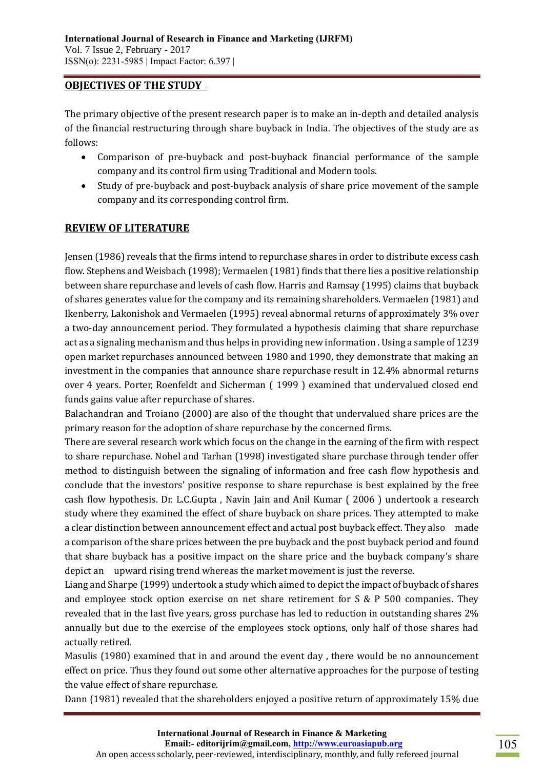### **OBJECTIVES OF THE STUDY**

The primary objective of the present research paper is to make an in-depth and detailed analysis of the financial restructuring through share buyback in India. The objectives of the study are as follows:

- Comparison of pre-buyback and post-buyback financial performance of the sample company and its control firm using Traditional and Modern tools.
- Study of pre-buyback and post-buyback analysis of share price movement of the sample company and its corresponding control firm.

## **REVIEW OF LITERATURE**

Jensen (1986) reveals that the firms intend to repurchase shares in order to distribute excess cash flow. Stephens and Weisbach (1998); Vermaelen (1981) finds that there lies a positive relationship between share repurchase and levels of cash flow. Harris and Ramsay (1995) claims that buyback of shares generates value for the company and its remaining shareholders. Vermaelen (1981) and Ikenberry, Lakonishok and Vermaelen (1995) reveal abnormal returns of approximately 3% over a two-day announcement period. They formulated a hypothesis claiming that share repurchase act as a signaling mechanism and thus helps in providing new information . Using a sample of 1239 open market repurchases announced between 1980 and 1990, they demonstrate that making an investment in the companies that announce share repurchase result in 12.4% abnormal returns over 4 years. Porter, Roenfeldt and Sicherman ( 1999 ) examined that undervalued closed end funds gains value after repurchase of shares.

Balachandran and Troiano (2000) are also of the thought that undervalued share prices are the primary reason for the adoption of share repurchase by the concerned firms.

There are several research work which focus on the change in the earning of the firm with respect to share repurchase. Nohel and Tarhan (1998) investigated share purchase through tender offer method to distinguish between the signaling of information and free cash flow hypothesis and conclude that the investors' positive response to share repurchase is best explained by the free cash flow hypothesis. Dr. L.C.Gupta , Navin Jain and Anil Kumar ( 2006 ) undertook a research study where they examined the effect of share buyback on share prices. They attempted to make a clear distinction between announcement effect and actual post buyback effect. They also made a comparison of the share prices between the pre buyback and the post buyback period and found that share buyback has a positive impact on the share price and the buyback company's share depict an upward rising trend whereas the market movement is just the reverse.

Liang and Sharpe (1999) undertook a study which aimed to depict the impact of buyback of shares and employee stock option exercise on net share retirement for S & P 500 companies. They revealed that in the last five years, gross purchase has led to reduction in outstanding shares 2% annually but due to the exercise of the employees stock options, only half of those shares had actually retired.

Masulis (1980) examined that in and around the event day , there would be no announcement effect on price. Thus they found out some other alternative approaches for the purpose of testing the value effect of share repurchase.

Dann (1981) revealed that the shareholders enjoyed a positive return of approximately 15% due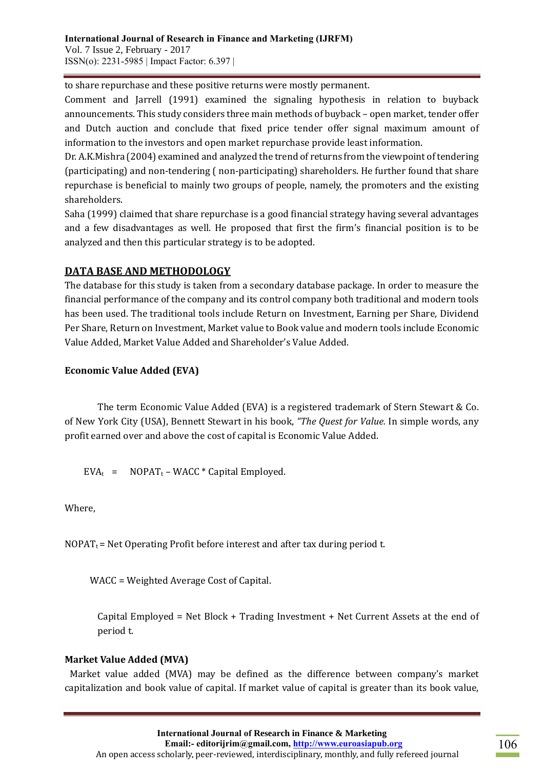to share repurchase and these positive returns were mostly permanent.

Comment and Jarrell (1991) examined the signaling hypothesis in relation to buyback announcements. This study considers three main methods of buyback – open market, tender offer and Dutch auction and conclude that fixed price tender offer signal maximum amount of information to the investors and open market repurchase provide least information.

Dr. A.K.Mishra (2004) examined and analyzed the trend of returns from the viewpoint of tendering (participating) and non-tendering ( non-participating) shareholders. He further found that share repurchase is beneficial to mainly two groups of people, namely, the promoters and the existing shareholders.

Saha (1999) claimed that share repurchase is a good financial strategy having several advantages and a few disadvantages as well. He proposed that first the firm's financial position is to be analyzed and then this particular strategy is to be adopted.

# **DATA BASE AND METHODOLOGY**

The database for this study is taken from a secondary database package. In order to measure the financial performance of the company and its control company both traditional and modern tools has been used. The traditional tools include Return on Investment, Earning per Share, Dividend Per Share, Return on Investment, Market value to Book value and modern tools include Economic Value Added, Market Value Added and Shareholder's Value Added.

## **Economic Value Added (EVA)**

The term Economic Value Added (EVA) is a registered trademark of Stern Stewart & Co. of New York City (USA), Bennett Stewart in his book, *"The Quest for Value.* In simple words, any profit earned over and above the cost of capital is Economic Value Added.

 $EVA_t$  = NOPAT<sub>t</sub> – WACC \* Capital Employed.

Where,

 $NOPAT_t$  = Net Operating Profit before interest and after tax during period t.

WACC = Weighted Average Cost of Capital.

Capital Employed = Net Block + Trading Investment + Net Current Assets at the end of period t.

## **Market Value Added (MVA)**

Market value added (MVA) may be defined as the difference between company's market capitalization and book value of capital. If market value of capital is greater than its book value,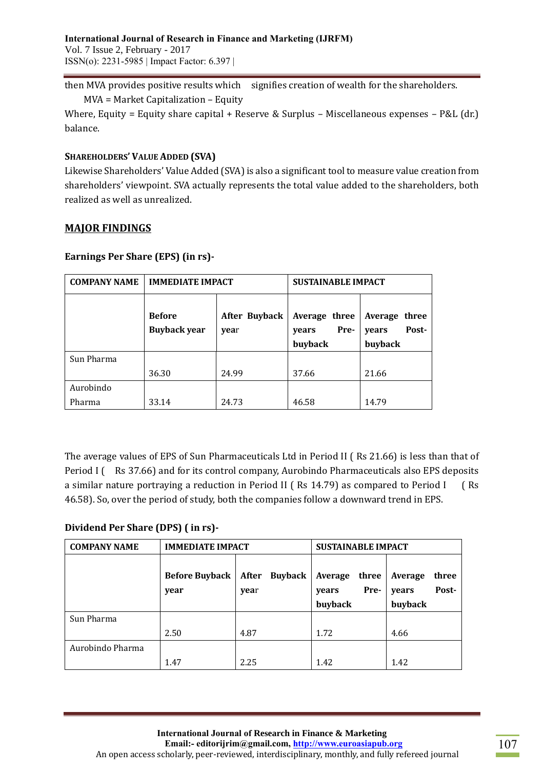then MVA provides positive results which signifies creation of wealth for the shareholders.

MVA = Market Capitalization – Equity

Where, Equity = Equity share capital + Reserve & Surplus – Miscellaneous expenses – P&L (dr.) balance.

### **SHAREHOLDERS' VALUE ADDED (SVA)**

Likewise Shareholders' Value Added (SVA) is also a significant tool to measure value creation from shareholders' viewpoint. SVA actually represents the total value added to the shareholders, both realized as well as unrealized.

### **MAJOR FINDINGS**

| <b>COMPANY NAME</b> | <b>IMMEDIATE IMPACT</b>                                              |       | <b>SUSTAINABLE IMPACT</b>                 |                                            |  |  |
|---------------------|----------------------------------------------------------------------|-------|-------------------------------------------|--------------------------------------------|--|--|
|                     | <b>Before</b><br><b>After Buyback</b><br><b>Buyback year</b><br>year |       | Average three<br>Pre-<br>years<br>buyback | Average three<br>Post-<br>years<br>buyback |  |  |
| Sun Pharma          |                                                                      |       |                                           |                                            |  |  |
|                     | 36.30                                                                | 24.99 | 37.66                                     | 21.66                                      |  |  |
| Aurobindo<br>Pharma | 33.14                                                                | 24.73 | 46.58                                     | 14.79                                      |  |  |

#### **Earnings Per Share (EPS) (in rs)-**

The average values of EPS of Sun Pharmaceuticals Ltd in Period II ( Rs 21.66) is less than that of Period I (Rs 37.66) and for its control company, Aurobindo Pharmaceuticals also EPS deposits a similar nature portraying a reduction in Period II (Rs 14.79) as compared to Period I (Rs 46.58). So, over the period of study, both the companies follow a downward trend in EPS.

## **Dividend Per Share (DPS) ( in rs)-**

| <b>COMPANY NAME</b> | <b>IMMEDIATE IMPACT</b>       |                                 | <b>SUSTAINABLE IMPACT</b>                    |                                               |  |  |  |
|---------------------|-------------------------------|---------------------------------|----------------------------------------------|-----------------------------------------------|--|--|--|
|                     | <b>Before Buyback</b><br>year | <b>Buyback</b><br>After<br>year | three<br>Average<br>Pre-<br>years<br>buyback | three<br>Average<br>Post-<br>years<br>buyback |  |  |  |
| Sun Pharma          |                               |                                 |                                              |                                               |  |  |  |
|                     | 2.50                          | 4.87                            | 1.72                                         | 4.66                                          |  |  |  |
| Aurobindo Pharma    |                               |                                 |                                              |                                               |  |  |  |
|                     | 1.47                          | 2.25                            | 1.42                                         | 1.42                                          |  |  |  |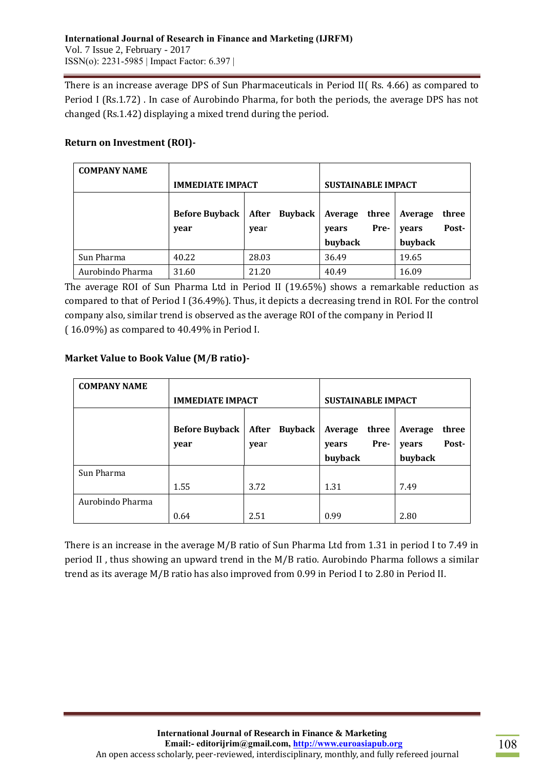There is an increase average DPS of Sun Pharmaceuticals in Period II( Rs. 4.66) as compared to Period I (Rs.1.72) . In case of Aurobindo Pharma, for both the periods, the average DPS has not changed (Rs.1.42) displaying a mixed trend during the period.

### **Return on Investment (ROI)-**

| <b>COMPANY NAME</b> |                                                                  |       |                                   |                                    |  |  |
|---------------------|------------------------------------------------------------------|-------|-----------------------------------|------------------------------------|--|--|
|                     | <b>IMMEDIATE IMPACT</b>                                          |       | <b>SUSTAINABLE IMPACT</b>         |                                    |  |  |
|                     | <b>Buyback</b><br><b>Before Buyback</b><br>After<br>year<br>year |       | Average<br>three<br>Pre-<br>years | Average<br>three<br>Post-<br>years |  |  |
|                     |                                                                  |       | buyback                           | buyback                            |  |  |
| Sun Pharma          | 40.22                                                            | 28.03 | 36.49                             | 19.65                              |  |  |
| Aurobindo Pharma    | 31.60                                                            | 21.20 | 40.49                             | 16.09                              |  |  |

The average ROI of Sun Pharma Ltd in Period II (19.65%) shows a remarkable reduction as compared to that of Period I (36.49%). Thus, it depicts a decreasing trend in ROI. For the control company also, similar trend is observed as the average ROI of the company in Period II ( 16.09%) as compared to 40.49% in Period I.

## **Market Value to Book Value (M/B ratio)-**

| <b>COMPANY NAME</b> |                               |                       |                                              |                                               |  |  |  |
|---------------------|-------------------------------|-----------------------|----------------------------------------------|-----------------------------------------------|--|--|--|
|                     | <b>IMMEDIATE IMPACT</b>       |                       | <b>SUSTAINABLE IMPACT</b>                    |                                               |  |  |  |
|                     | <b>Before Buyback</b><br>year | After Buyback<br>year | Average<br>three<br>Pre-<br>years<br>buyback | three<br>Average<br>Post-<br>years<br>buyback |  |  |  |
| Sun Pharma          |                               |                       |                                              |                                               |  |  |  |
|                     | 1.55                          | 3.72                  | 1.31                                         | 7.49                                          |  |  |  |
| Aurobindo Pharma    |                               |                       |                                              |                                               |  |  |  |
|                     | 0.64                          | 2.51                  | 0.99                                         | 2.80                                          |  |  |  |

There is an increase in the average M/B ratio of Sun Pharma Ltd from 1.31 in period I to 7.49 in period II , thus showing an upward trend in the M/B ratio. Aurobindo Pharma follows a similar trend as its average M/B ratio has also improved from 0.99 in Period I to 2.80 in Period II.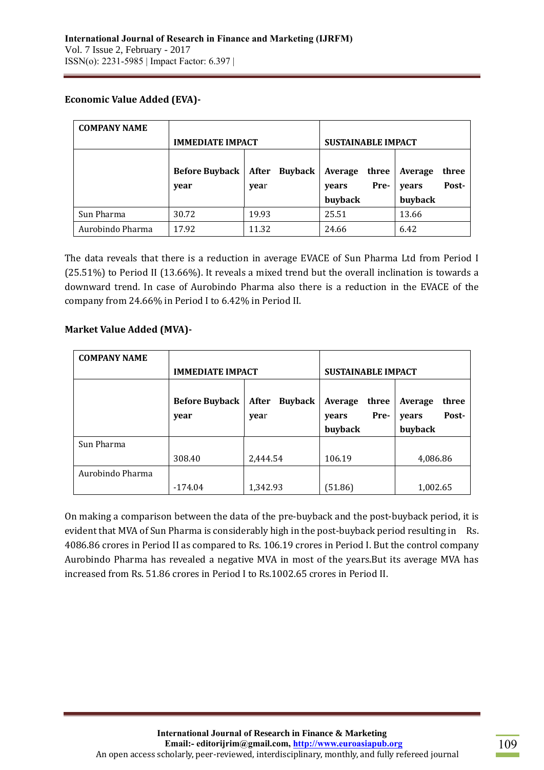## **Economic Value Added (EVA)-**

| <b>COMPANY NAME</b> |                         |                           |                |         |       |         |       |
|---------------------|-------------------------|---------------------------|----------------|---------|-------|---------|-------|
|                     | <b>IMMEDIATE IMPACT</b> | <b>SUSTAINABLE IMPACT</b> |                |         |       |         |       |
|                     |                         |                           |                |         |       |         |       |
|                     | <b>Before Buyback</b>   | After                     | <b>Buyback</b> | Average | three | Average | three |
|                     | year                    | year                      |                | years   | Pre-  | years   | Post- |
|                     |                         |                           |                | buyback |       | buyback |       |
| Sun Pharma          | 30.72                   | 19.93                     |                | 25.51   |       | 13.66   |       |
| Aurobindo Pharma    | 17.92                   | 11.32                     |                | 24.66   |       | 6.42    |       |

The data reveals that there is a reduction in average EVACE of Sun Pharma Ltd from Period I (25.51%) to Period II (13.66%). It reveals a mixed trend but the overall inclination is towards a downward trend. In case of Aurobindo Pharma also there is a reduction in the EVACE of the company from 24.66% in Period I to 6.42% in Period II.

### **Market Value Added (MVA)-**

| <b>COMPANY NAME</b> |                               |                                 |                                              |                                               |  |  |  |
|---------------------|-------------------------------|---------------------------------|----------------------------------------------|-----------------------------------------------|--|--|--|
|                     | <b>IMMEDIATE IMPACT</b>       |                                 | <b>SUSTAINABLE IMPACT</b>                    |                                               |  |  |  |
|                     | <b>Before Buyback</b><br>year | <b>Buyback</b><br>After<br>year | three<br>Average<br>Pre-<br>years<br>buyback | three<br>Average<br>Post-<br>years<br>buyback |  |  |  |
| Sun Pharma          |                               |                                 |                                              |                                               |  |  |  |
|                     | 308.40                        | 2,444.54                        | 106.19                                       | 4,086.86                                      |  |  |  |
| Aurobindo Pharma    |                               |                                 |                                              |                                               |  |  |  |
|                     | $-174.04$                     | 1,342.93                        | (51.86)                                      | 1,002.65                                      |  |  |  |

On making a comparison between the data of the pre-buyback and the post-buyback period, it is evident that MVA of Sun Pharma is considerably high in the post-buyback period resulting in Rs. 4086.86 crores in Period II as compared to Rs. 106.19 crores in Period I. But the control company Aurobindo Pharma has revealed a negative MVA in most of the years.But its average MVA has increased from Rs. 51.86 crores in Period I to Rs.1002.65 crores in Period II.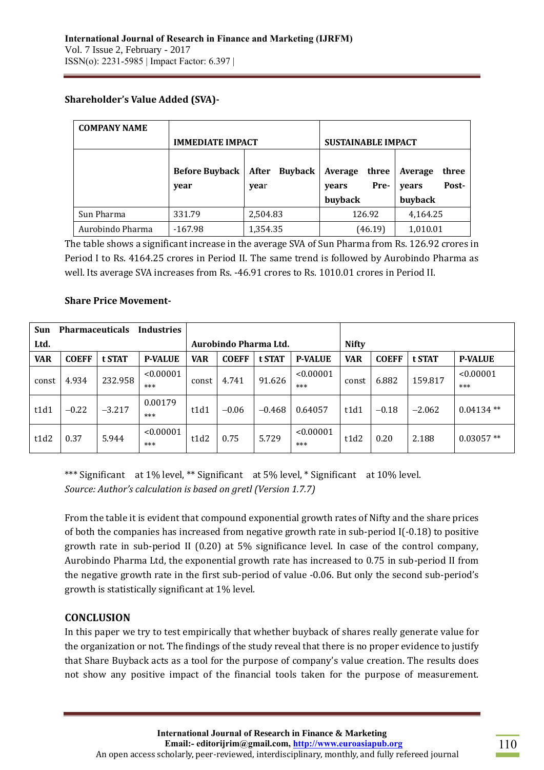## **Shareholder's Value Added (SVA)-**

| <b>COMPANY NAME</b> |                         |                         |                           |                  |  |  |
|---------------------|-------------------------|-------------------------|---------------------------|------------------|--|--|
|                     | <b>IMMEDIATE IMPACT</b> |                         | <b>SUSTAINABLE IMPACT</b> |                  |  |  |
|                     | <b>Before Buyback</b>   | <b>Buyback</b><br>After | Average<br>three          | three<br>Average |  |  |
|                     | year                    | year                    | Pre-<br>years             | Post-<br>years   |  |  |
|                     |                         |                         | buyback                   | buyback          |  |  |
| Sun Pharma          | 331.79                  | 2,504.83                | 126.92                    | 4,164.25         |  |  |
| Aurobindo Pharma    | $-167.98$               | 1,354.35                | (46.19)                   | 1,010.01         |  |  |

The table shows a significant increase in the average SVA of Sun Pharma from Rs. 126.92 crores in Period I to Rs. 4164.25 crores in Period II. The same trend is followed by Aurobindo Pharma as well. Its average SVA increases from Rs. -46.91 crores to Rs. 1010.01 crores in Period II.

### **Share Price Movement-**

| Sun        | <b>Pharmaceuticals</b> |          | <b>Industries</b>     |            |              |              |                  |            |              |          |                  |
|------------|------------------------|----------|-----------------------|------------|--------------|--------------|------------------|------------|--------------|----------|------------------|
| Ltd.       |                        |          | Aurobindo Pharma Ltd. |            |              | <b>Nifty</b> |                  |            |              |          |                  |
| <b>VAR</b> | <b>COEFF</b>           | t STAT   | <b>P-VALUE</b>        | <b>VAR</b> | <b>COEFF</b> | t STAT       | <b>P-VALUE</b>   | <b>VAR</b> | <b>COEFF</b> | t STAT   | <b>P-VALUE</b>   |
| const      | 4.934                  | 232.958  | < 0.00001<br>***      | const      | 4.741        | 91.626       | < 0.00001<br>*** | const      | 6.882        | 159.817  | < 0.00001<br>*** |
| t1d1       | $-0.22$                | $-3.217$ | 0.00179<br>***        | t1d1       | $-0.06$      | $-0.468$     | 0.64057          | t1d1       | $-0.18$      | $-2.062$ | $0.04134**$      |
| t1d2       | 0.37                   | 5.944    | < 0.00001<br>$***$    | t1d2       | 0.75         | 5.729        | < 0.00001<br>*** | t1d2       | 0.20         | 2.188    | $0.03057**$      |

\*\*\* Significant at 1% level, \*\* Significant at 5% level, \* Significant at 10% level. *Source: Author's calculation is based on gretl (Version 1.7.7)*

From the table it is evident that compound exponential growth rates of Nifty and the share prices of both the companies has increased from negative growth rate in sub-period I(-0.18) to positive growth rate in sub-period II (0.20) at 5% significance level. In case of the control company, Aurobindo Pharma Ltd, the exponential growth rate has increased to 0.75 in sub-period II from the negative growth rate in the first sub-period of value -0.06. But only the second sub-period's growth is statistically significant at 1% level.

## **CONCLUSION**

In this paper we try to test empirically that whether buyback of shares really generate value for the organization or not. The findings of the study reveal that there is no proper evidence to justify that Share Buyback acts as a tool for the purpose of company's value creation. The results does not show any positive impact of the financial tools taken for the purpose of measurement.